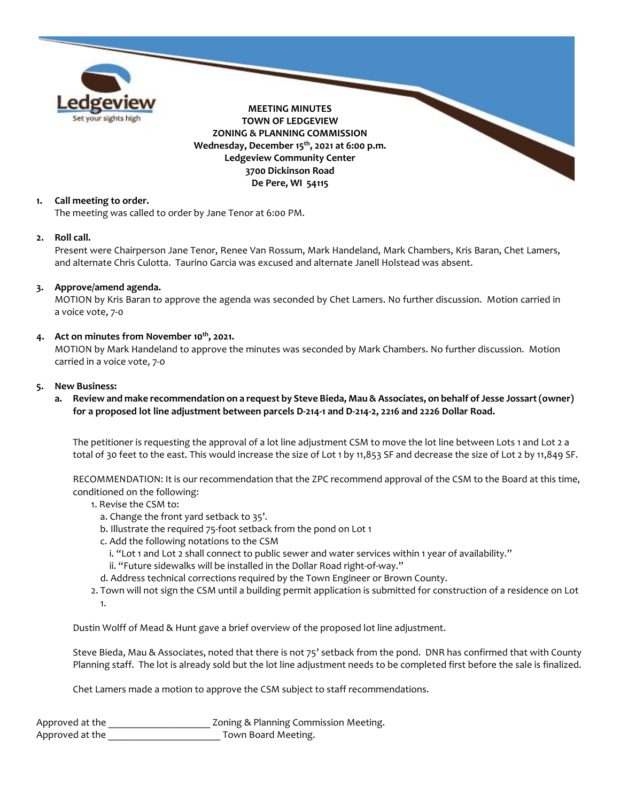

## **1. Call meeting to order.**

The meeting was called to order by Jane Tenor at 6:00 PM.

#### **2. Roll call.**

Present were Chairperson Jane Tenor, Renee Van Rossum, Mark Handeland, Mark Chambers, Kris Baran, Chet Lamers, and alternate Chris Culotta. Taurino Garcia was excused and alternate Janell Holstead was absent.

#### **3. Approve/amend agenda.**

MOTION by Kris Baran to approve the agenda was seconded by Chet Lamers. No further discussion. Motion carried in a voice vote, 7-0

## **4. Act on minutes from November 10th, 2021.**

MOTION by Mark Handeland to approve the minutes was seconded by Mark Chambers. No further discussion. Motion carried in a voice vote, 7-0

#### **5. New Business:**

**a. Review and make recommendation on a request by Steve Bieda, Mau & Associates, on behalf of Jesse Jossart(owner) for a proposed lot line adjustment between parcels D-214-1 and D-214-2, 2216 and 2226 Dollar Road.** 

The petitioner is requesting the approval of a lot line adjustment CSM to move the lot line between Lots 1 and Lot 2 a total of 30 feet to the east. This would increase the size of Lot 1 by 11,853 SF and decrease the size of Lot 2 by 11,849 SF.

RECOMMENDATION: It is our recommendation that the ZPC recommend approval of the CSM to the Board at this time, conditioned on the following:

- 1. Revise the CSM to:
	- a. Change the front yard setback to 35'.
	- b. Illustrate the required 75-foot setback from the pond on Lot 1
	- c. Add the following notations to the CSM
		- i. "Lot 1 and Lot 2 shall connect to public sewer and water services within 1 year of availability."
	- ii. "Future sidewalks will be installed in the Dollar Road right-of-way."
	- d. Address technical corrections required by the Town Engineer or Brown County.
- 2. Town will not sign the CSM until a building permit application is submitted for construction of a residence on Lot 1.

Dustin Wolff of Mead & Hunt gave a brief overview of the proposed lot line adjustment.

Steve Bieda, Mau & Associates, noted that there is not 75' setback from the pond. DNR has confirmed that with County Planning staff. The lot is already sold but the lot line adjustment needs to be completed first before the sale is finalized.

Chet Lamers made a motion to approve the CSM subject to staff recommendations.

| Approved at the | Zoning & Planning Commission Meeting. |
|-----------------|---------------------------------------|
| Approved at the | Town Board Meeting.                   |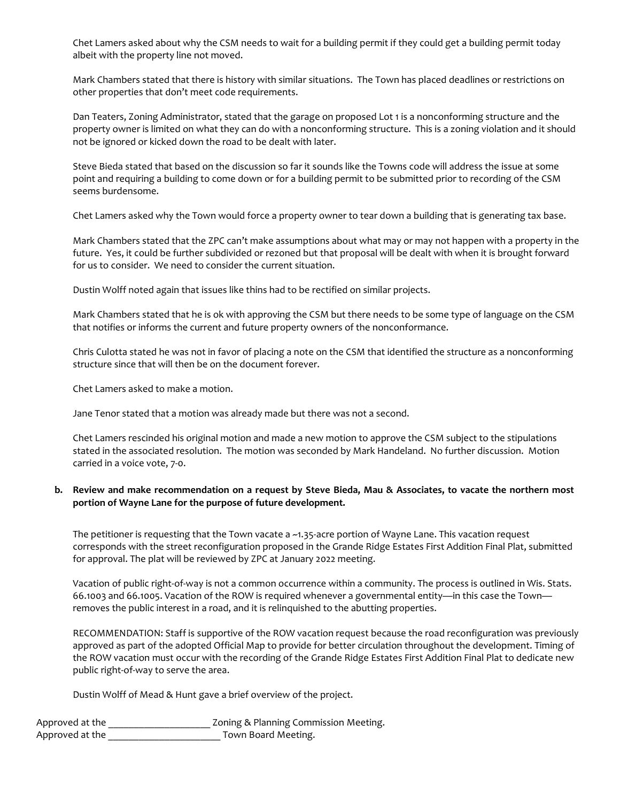Chet Lamers asked about why the CSM needs to wait for a building permit if they could get a building permit today albeit with the property line not moved.

Mark Chambers stated that there is history with similar situations. The Town has placed deadlines or restrictions on other properties that don't meet code requirements.

Dan Teaters, Zoning Administrator, stated that the garage on proposed Lot 1 is a nonconforming structure and the property owner is limited on what they can do with a nonconforming structure. This is a zoning violation and it should not be ignored or kicked down the road to be dealt with later.

Steve Bieda stated that based on the discussion so far it sounds like the Towns code will address the issue at some point and requiring a building to come down or for a building permit to be submitted prior to recording of the CSM seems burdensome.

Chet Lamers asked why the Town would force a property owner to tear down a building that is generating tax base.

Mark Chambers stated that the ZPC can't make assumptions about what may or may not happen with a property in the future. Yes, it could be further subdivided or rezoned but that proposal will be dealt with when it is brought forward for us to consider. We need to consider the current situation.

Dustin Wolff noted again that issues like thins had to be rectified on similar projects.

Mark Chambers stated that he is ok with approving the CSM but there needs to be some type of language on the CSM that notifies or informs the current and future property owners of the nonconformance.

Chris Culotta stated he was not in favor of placing a note on the CSM that identified the structure as a nonconforming structure since that will then be on the document forever.

Chet Lamers asked to make a motion.

Jane Tenor stated that a motion was already made but there was not a second.

Chet Lamers rescinded his original motion and made a new motion to approve the CSM subject to the stipulations stated in the associated resolution. The motion was seconded by Mark Handeland. No further discussion. Motion carried in a voice vote, 7-0.

## **b. Review and make recommendation on a request by Steve Bieda, Mau & Associates, to vacate the northern most portion of Wayne Lane for the purpose of future development.**

The petitioner is requesting that the Town vacate a ~1.35-acre portion of Wayne Lane. This vacation request corresponds with the street reconfiguration proposed in the Grande Ridge Estates First Addition Final Plat, submitted for approval. The plat will be reviewed by ZPC at January 2022 meeting.

Vacation of public right-of-way is not a common occurrence within a community. The process is outlined in Wis. Stats. 66.1003 and 66.1005. Vacation of the ROW is required whenever a governmental entity—in this case the Town removes the public interest in a road, and it is relinquished to the abutting properties.

RECOMMENDATION: Staff is supportive of the ROW vacation request because the road reconfiguration was previously approved as part of the adopted Official Map to provide for better circulation throughout the development. Timing of the ROW vacation must occur with the recording of the Grande Ridge Estates First Addition Final Plat to dedicate new public right-of-way to serve the area.

Dustin Wolff of Mead & Hunt gave a brief overview of the project.

| Approved at the | Zoning & Planning Commission Meeting. |
|-----------------|---------------------------------------|
| Approved at the | Town Board Meeting.                   |